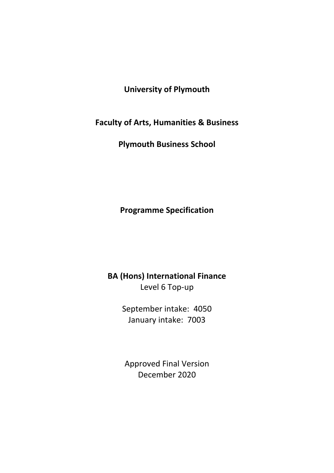# **University of Plymouth**

**Faculty of Arts, Humanities & Business**

**Plymouth Business School**

**Programme Specification**

**BA (Hons) International Finance** Level 6 Top-up

> September intake: 4050 January intake: 7003

Approved Final Version December 2020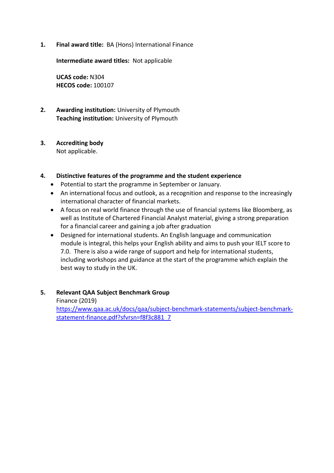**1. Final award title:** BA (Hons) International Finance

**Intermediate award titles:** Not applicable

**UCAS code:** N304 **HECOS code:** 100107

**2. Awarding institution:** University of Plymouth **Teaching institution:** University of Plymouth

# **3. Accrediting body**

Not applicable.

# **4. Distinctive features of the programme and the student experience**

- Potential to start the programme in September or January.
- An international focus and outlook, as a recognition and response to the increasingly international character of financial markets.
- A focus on real world finance through the use of financial systems like Bloomberg, as well as Institute of Chartered Financial Analyst material, giving a strong preparation for a financial career and gaining a job after graduation
- Designed for international students. An English language and communication module is integral, this helps your English ability and aims to push your IELT score to 7.0. There is also a wide range of support and help for international students, including workshops and guidance at the start of the programme which explain the best way to study in the UK.
- **5. Relevant QAA Subject Benchmark Group** Finance (2019) [https://www.qaa.ac.uk/docs/qaa/subject-benchmark-statements/subject-benchmark](https://www.qaa.ac.uk/docs/qaa/subject-benchmark-statements/subject-benchmark-statement-finance.pdf?sfvrsn=f8f3c881_7)[statement-finance.pdf?sfvrsn=f8f3c881\\_7](https://www.qaa.ac.uk/docs/qaa/subject-benchmark-statements/subject-benchmark-statement-finance.pdf?sfvrsn=f8f3c881_7)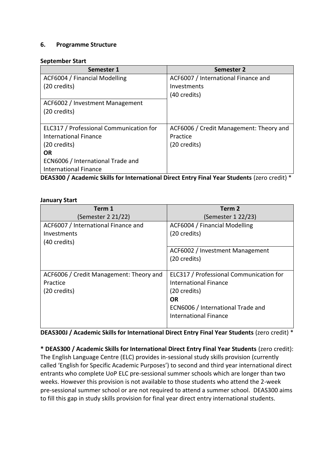## **6. Programme Structure**

#### **September Start**

| Semester 1                              | <b>Semester 2</b>                       |
|-----------------------------------------|-----------------------------------------|
| ACF6004 / Financial Modelling           | ACF6007 / International Finance and     |
| (20 credits)                            | Investments                             |
|                                         | (40 credits)                            |
| ACF6002 / Investment Management         |                                         |
| (20 credits)                            |                                         |
|                                         |                                         |
| ELC317 / Professional Communication for | ACF6006 / Credit Management: Theory and |
| <b>International Finance</b>            | Practice                                |
| (20 credits)                            | (20 credits)                            |
| <b>OR</b>                               |                                         |
| ECN6006 / International Trade and       |                                         |
| <b>International Finance</b>            |                                         |

**DEAS300 / Academic Skills for International Direct Entry Final Year Students** (zero credit) \*

#### **January Start**

| Term 1                                  | Term <sub>2</sub>                       |  |  |  |  |  |  |  |  |
|-----------------------------------------|-----------------------------------------|--|--|--|--|--|--|--|--|
| (Semester 2 21/22)                      | (Semester 1 22/23)                      |  |  |  |  |  |  |  |  |
| ACF6007 / International Finance and     | ACF6004 / Financial Modelling           |  |  |  |  |  |  |  |  |
| Investments                             | (20 credits)                            |  |  |  |  |  |  |  |  |
| (40 credits)                            |                                         |  |  |  |  |  |  |  |  |
|                                         | ACF6002 / Investment Management         |  |  |  |  |  |  |  |  |
|                                         | (20 credits)                            |  |  |  |  |  |  |  |  |
|                                         |                                         |  |  |  |  |  |  |  |  |
| ACF6006 / Credit Management: Theory and | ELC317 / Professional Communication for |  |  |  |  |  |  |  |  |
| Practice                                | <b>International Finance</b>            |  |  |  |  |  |  |  |  |
| (20 credits)                            | (20 credits)                            |  |  |  |  |  |  |  |  |
|                                         | <b>OR</b>                               |  |  |  |  |  |  |  |  |
|                                         | ECN6006 / International Trade and       |  |  |  |  |  |  |  |  |
|                                         | <b>International Finance</b>            |  |  |  |  |  |  |  |  |
|                                         |                                         |  |  |  |  |  |  |  |  |

**DEAS300J / Academic Skills for International Direct Entry Final Year Students** (zero credit) \*

**\* DEAS300 / Academic Skills for International Direct Entry Final Year Students** (zero credit): The English Language Centre (ELC) provides in-sessional study skills provision (currently called 'English for Specific Academic Purposes') to second and third year international direct entrants who complete UoP ELC pre-sessional summer schools which are longer than two weeks. However this provision is not available to those students who attend the 2-week pre-sessional summer school or are not required to attend a summer school. DEAS300 aims to fill this gap in study skills provision for final year direct entry international students.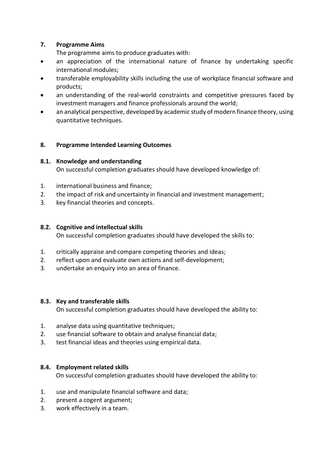# **7. Programme Aims**

The programme aims to produce graduates with:

- an appreciation of the international nature of finance by undertaking specific international modules;
- transferable employability skills including the use of workplace financial software and products;
- an understanding of the real-world constraints and competitive pressures faced by investment managers and finance professionals around the world;
- an analytical perspective, developed by academic study of modern finance theory, using quantitative techniques.

## **8. Programme Intended Learning Outcomes**

## **8.1. Knowledge and understanding**

On successful completion graduates should have developed knowledge of:

- 1. international business and finance;
- 2. the impact of risk and uncertainty in financial and investment management;
- 3. key financial theories and concepts.

#### **8.2. Cognitive and intellectual skills**

On successful completion graduates should have developed the skills to:

- 1. critically appraise and compare competing theories and ideas;
- 2. reflect upon and evaluate own actions and self-development;
- 3. undertake an enquiry into an area of finance.

#### **8.3. Key and transferable skills**

On successful completion graduates should have developed the ability to:

- 1. analyse data using quantitative techniques;
- 2. use financial software to obtain and analyse financial data;
- 3. test financial ideas and theories using empirical data.

#### **8.4. Employment related skills**

On successful completion graduates should have developed the ability to:

- 1. use and manipulate financial software and data;
- 2. present a cogent argument;
- 3. work effectively in a team.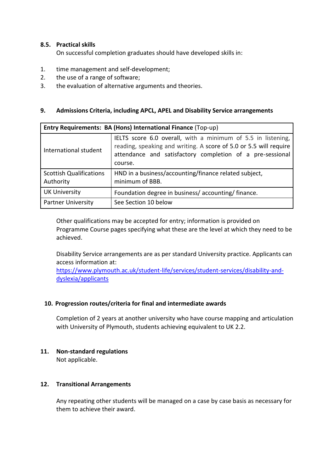## **8.5. Practical skills**

On successful completion graduates should have developed skills in:

- 1. time management and self-development;
- 2. the use of a range of software;
- 3. the evaluation of alternative arguments and theories.

### **9. Admissions Criteria, including APCL, APEL and Disability Service arrangements**

| Entry Requirements: BA (Hons) International Finance (Top-up) |                                                                                                                                                                                                           |  |  |  |  |  |  |  |  |
|--------------------------------------------------------------|-----------------------------------------------------------------------------------------------------------------------------------------------------------------------------------------------------------|--|--|--|--|--|--|--|--|
| International student                                        | IELTS score 6.0 overall, with a minimum of 5.5 in listening,<br>reading, speaking and writing. A score of 5.0 or 5.5 will require<br>attendance and satisfactory completion of a pre-sessional<br>course. |  |  |  |  |  |  |  |  |
| <b>Scottish Qualifications</b><br>Authority                  | HND in a business/accounting/finance related subject,<br>minimum of BBB.                                                                                                                                  |  |  |  |  |  |  |  |  |
| <b>UK University</b>                                         | Foundation degree in business/accounting/finance.                                                                                                                                                         |  |  |  |  |  |  |  |  |
| <b>Partner University</b>                                    | See Section 10 below                                                                                                                                                                                      |  |  |  |  |  |  |  |  |

Other qualifications may be accepted for entry; information is provided on Programme Course pages specifying what these are the level at which they need to be achieved.

Disability Service arrangements are as per standard University practice. Applicants can access information at:

[https://www.plymouth.ac.uk/student-life/services/student-services/disability-and](https://www.plymouth.ac.uk/student-life/services/student-services/disability-and-dyslexia/applicants)[dyslexia/applicants](https://www.plymouth.ac.uk/student-life/services/student-services/disability-and-dyslexia/applicants)

#### **10. Progression routes/criteria for final and intermediate awards**

Completion of 2 years at another university who have course mapping and articulation with University of Plymouth, students achieving equivalent to UK 2.2.

#### **11. Non-standard regulations**

Not applicable.

#### **12. Transitional Arrangements**

Any repeating other students will be managed on a case by case basis as necessary for them to achieve their award.